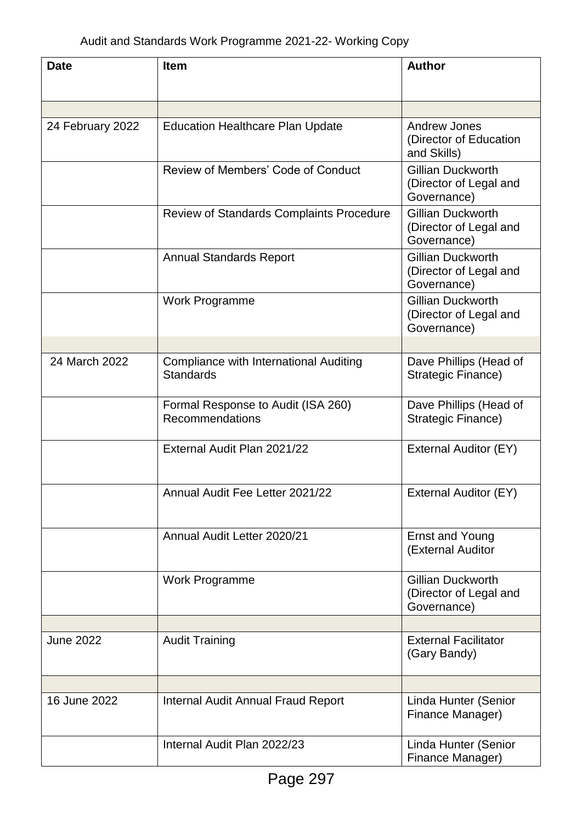| <b>Date</b>      | <b>Item</b>                                                       | <b>Author</b>                                                     |
|------------------|-------------------------------------------------------------------|-------------------------------------------------------------------|
|                  |                                                                   |                                                                   |
| 24 February 2022 | <b>Education Healthcare Plan Update</b>                           | <b>Andrew Jones</b><br>(Director of Education<br>and Skills)      |
|                  | Review of Members' Code of Conduct                                | <b>Gillian Duckworth</b><br>(Director of Legal and<br>Governance) |
|                  | Review of Standards Complaints Procedure                          | <b>Gillian Duckworth</b><br>(Director of Legal and<br>Governance) |
|                  | <b>Annual Standards Report</b>                                    | <b>Gillian Duckworth</b><br>(Director of Legal and<br>Governance) |
|                  | Work Programme                                                    | <b>Gillian Duckworth</b><br>(Director of Legal and<br>Governance) |
|                  |                                                                   |                                                                   |
| 24 March 2022    | <b>Compliance with International Auditing</b><br><b>Standards</b> | Dave Phillips (Head of<br>Strategic Finance)                      |
|                  | Formal Response to Audit (ISA 260)<br>Recommendations             | Dave Phillips (Head of<br>Strategic Finance)                      |
|                  | External Audit Plan 2021/22                                       | External Auditor (EY)                                             |
|                  | Annual Audit Fee Letter 2021/22                                   | <b>External Auditor (EY)</b>                                      |
|                  | Annual Audit Letter 2020/21                                       | <b>Ernst and Young</b><br>(External Auditor                       |
|                  | Work Programme                                                    | <b>Gillian Duckworth</b><br>(Director of Legal and<br>Governance) |
|                  |                                                                   |                                                                   |
| <b>June 2022</b> | <b>Audit Training</b>                                             | <b>External Facilitator</b><br>(Gary Bandy)                       |
|                  |                                                                   |                                                                   |
| 16 June 2022     | Internal Audit Annual Fraud Report                                | Linda Hunter (Senior<br>Finance Manager)                          |
|                  | Internal Audit Plan 2022/23                                       | Linda Hunter (Senior<br>Finance Manager)                          |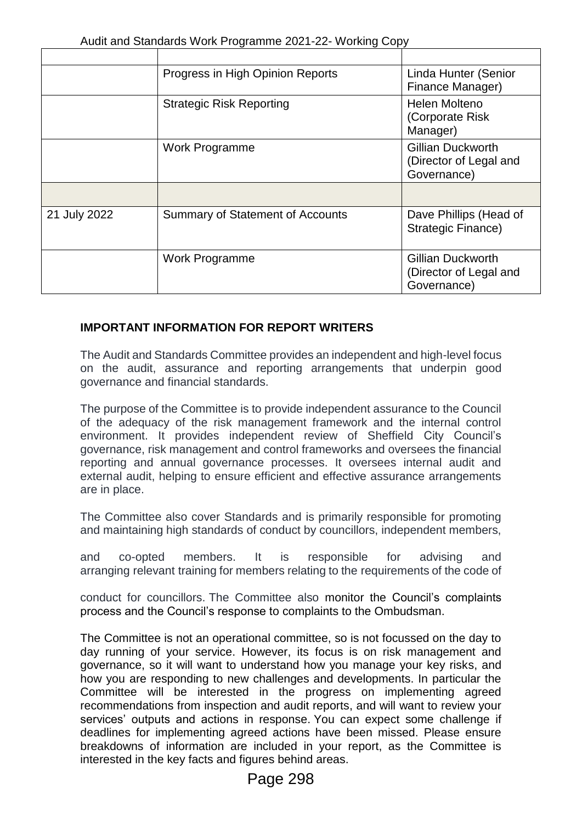|              | Progress in High Opinion Reports        | Linda Hunter (Senior<br>Finance Manager)                          |
|--------------|-----------------------------------------|-------------------------------------------------------------------|
|              | <b>Strategic Risk Reporting</b>         | Helen Molteno<br>(Corporate Risk)<br>Manager)                     |
|              | Work Programme                          | Gillian Duckworth<br>(Director of Legal and<br>Governance)        |
|              |                                         |                                                                   |
| 21 July 2022 | <b>Summary of Statement of Accounts</b> | Dave Phillips (Head of<br><b>Strategic Finance)</b>               |
|              | Work Programme                          | <b>Gillian Duckworth</b><br>(Director of Legal and<br>Governance) |

## **IMPORTANT INFORMATION FOR REPORT WRITERS**

The Audit and Standards Committee provides an independent and high-level focus on the audit, assurance and reporting arrangements that underpin good governance and financial standards.

The purpose of the Committee is to provide independent assurance to the Council of the adequacy of the risk management framework and the internal control environment. It provides independent review of Sheffield City Council's governance, risk management and control frameworks and oversees the financial reporting and annual governance processes. It oversees internal audit and external audit, helping to ensure efficient and effective assurance arrangements are in place.

The Committee also cover Standards and is primarily responsible for promoting and maintaining high standards of conduct by councillors, independent members,

and co-opted members. It is responsible for advising and arranging relevant training for members relating to the requirements of the code of

conduct for councillors. The Committee also monitor the Council's complaints process and the Council's response to complaints to the Ombudsman.

The Committee is not an operational committee, so is not focussed on the day to day running of your service. However, its focus is on risk management and governance, so it will want to understand how you manage your key risks, and how you are responding to new challenges and developments. In particular the Committee will be interested in the progress on implementing agreed recommendations from inspection and audit reports, and will want to review your services' outputs and actions in response. You can expect some challenge if deadlines for implementing agreed actions have been missed. Please ensure breakdowns of information are included in your report, as the Committee is interested in the key facts and figures behind areas.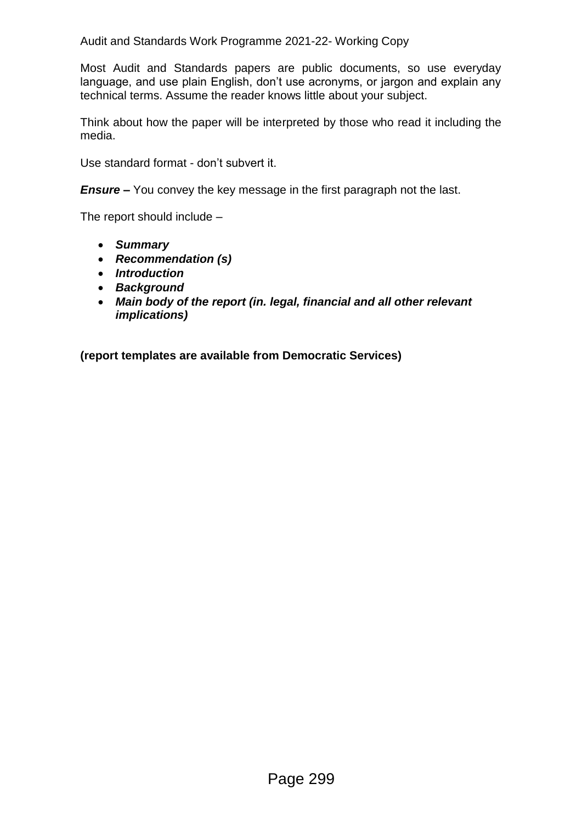Audit and Standards Work Programme 2021-22- Working Copy

Most Audit and Standards papers are public documents, so use everyday language, and use plain English, don't use acronyms, or jargon and explain any technical terms. Assume the reader knows little about your subject.

Think about how the paper will be interpreted by those who read it including the media.

Use standard format - don't subvert it.

*Ensure –* You convey the key message in the first paragraph not the last.

The report should include –

- *Summary*
- *Recommendation (s)*
- *Introduction*
- *Background*
- *Main body of the report (in. legal, financial and all other relevant implications)*

**(report templates are available from Democratic Services)**